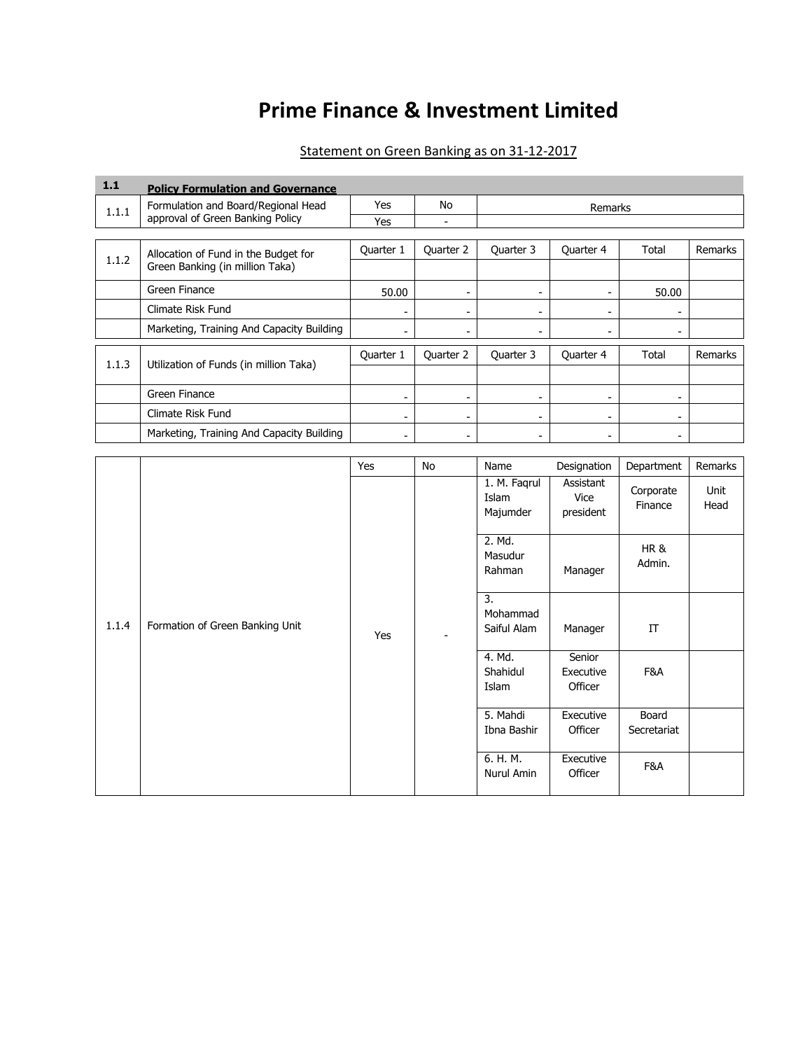# **Prime Finance & Investment Limited**

### Statement on Green Banking as on 31-12-2017

| 1.1   | <b>Policy Formulation and Governance</b>  |           |           |                          |           |                          |         |  |
|-------|-------------------------------------------|-----------|-----------|--------------------------|-----------|--------------------------|---------|--|
| 1.1.1 | Formulation and Board/Regional Head       | Yes       | No        | Remarks                  |           |                          |         |  |
|       | approval of Green Banking Policy          | Yes       |           |                          |           |                          |         |  |
|       |                                           |           |           |                          |           |                          |         |  |
| 1.1.2 | Allocation of Fund in the Budget for      | Quarter 1 | Quarter 2 | Quarter 3                | Quarter 4 | Total                    | Remarks |  |
|       | Green Banking (in million Taka)           |           |           |                          |           |                          |         |  |
|       | Green Finance                             | 50.00     |           |                          |           | 50.00                    |         |  |
|       | Climate Risk Fund                         |           | ۰         | $\overline{\phantom{a}}$ | -         | $\overline{\phantom{0}}$ |         |  |
|       | Marketing, Training And Capacity Building |           |           |                          | -         |                          |         |  |
|       |                                           |           |           |                          |           |                          |         |  |
| 1.1.3 | Utilization of Funds (in million Taka)    | Quarter 1 | Quarter 2 | Quarter 3                | Quarter 4 | Total                    | Remarks |  |
|       |                                           |           |           |                          |           |                          |         |  |
|       | Green Finance                             |           | ٠         | -                        | ۰         |                          |         |  |
|       | Climate Risk Fund                         |           | ٠         |                          | -         |                          |         |  |
|       | Marketing, Training And Capacity Building |           |           |                          |           |                          |         |  |

|       |                                 | Yes | No             | Name                              | Designation                    | Department                | Remarks      |
|-------|---------------------------------|-----|----------------|-----------------------------------|--------------------------------|---------------------------|--------------|
|       |                                 |     |                | 1. M. Faqrul<br>Islam<br>Majumder | Assistant<br>Vice<br>president | Corporate<br>Finance      | Unit<br>Head |
|       |                                 |     |                | 2. Md.<br>Masudur<br>Rahman       | Manager                        | <b>HR &amp;</b><br>Admin. |              |
| 1.1.4 | Formation of Green Banking Unit | Yes | $\blacksquare$ | 3.<br>Mohammad<br>Saiful Alam     | Manager                        | IT                        |              |
|       |                                 |     |                | 4. Md.<br>Shahidul<br>Islam       | Senior<br>Executive<br>Officer | F&A                       |              |
|       |                                 |     |                | 5. Mahdi<br>Ibna Bashir           | Executive<br>Officer           | Board<br>Secretariat      |              |
|       |                                 |     |                | 6. H. M.<br>Nurul Amin            | Executive<br>Officer           | F&A                       |              |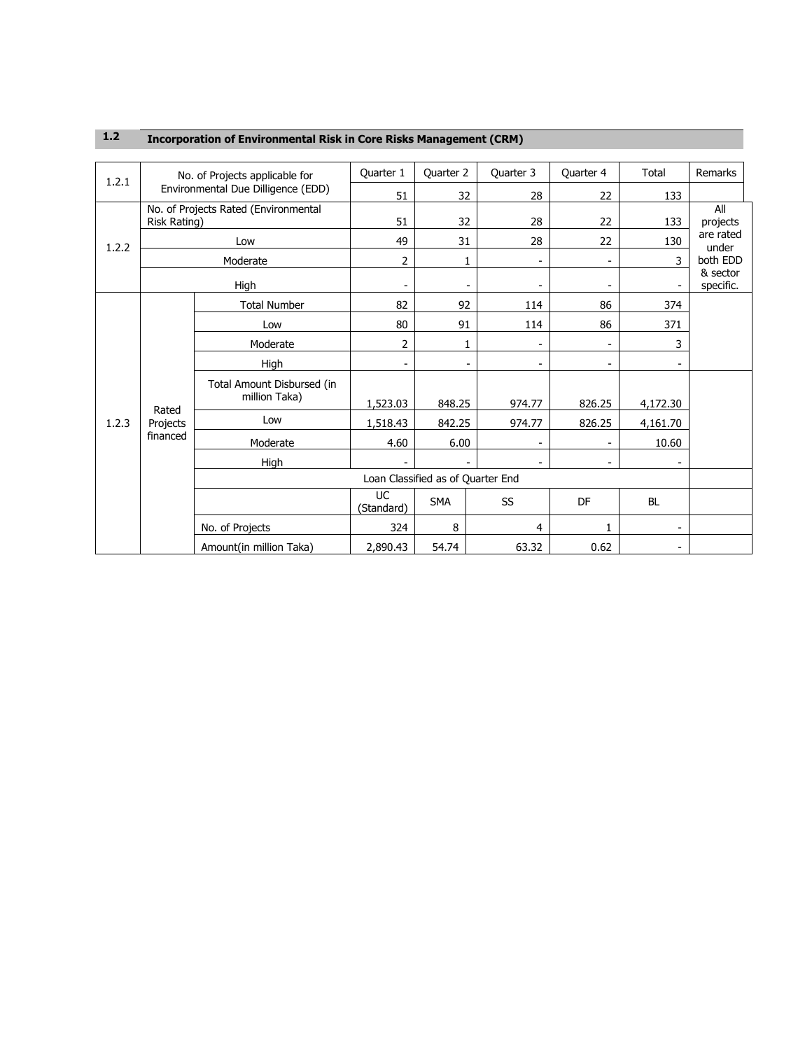|       | No. of Projects applicable for<br>1.2.1<br>Environmental Due Dilligence (EDD) |                                             | Quarter 1               | Quarter 2                         | Quarter 3      | Quarter 4                | Total     | Remarks               |
|-------|-------------------------------------------------------------------------------|---------------------------------------------|-------------------------|-----------------------------------|----------------|--------------------------|-----------|-----------------------|
|       |                                                                               |                                             | 51                      | 32                                | 28             | 22                       | 133       |                       |
|       | Risk Rating)                                                                  | No. of Projects Rated (Environmental        | 51                      | 32                                | 28             | 22                       | 133       | All<br>projects       |
| 1.2.2 |                                                                               | Low                                         | 49                      | 31                                | 28             | 22                       | 130       | are rated<br>under    |
|       |                                                                               | Moderate                                    | 2                       | 1                                 | $\overline{a}$ | $\overline{\phantom{a}}$ | 3         | both EDD              |
|       | High                                                                          |                                             | $\overline{a}$          | $\overline{\phantom{0}}$          | $\overline{a}$ | $\overline{\phantom{a}}$ |           | & sector<br>specific. |
|       |                                                                               | <b>Total Number</b>                         | 82                      | 92                                | 114            | 86                       | 374       |                       |
|       |                                                                               | Low                                         | 80                      | 91                                | 114            | 86                       | 371       |                       |
|       |                                                                               | Moderate                                    | 2                       | 1                                 |                |                          | 3         |                       |
|       |                                                                               | High                                        |                         | $\overline{\phantom{a}}$          |                |                          |           |                       |
|       |                                                                               | Total Amount Disbursed (in<br>million Taka) | 1,523.03                | 848.25                            | 974.77         | 826.25                   | 4,172.30  |                       |
| 1.2.3 | Rated<br>Projects                                                             | Low                                         | 1,518.43                | 842.25                            | 974.77         | 826.25                   | 4,161.70  |                       |
|       | financed                                                                      | Moderate                                    | 4.60                    | 6.00                              |                |                          | 10.60     |                       |
|       |                                                                               | High                                        |                         |                                   |                |                          |           |                       |
|       |                                                                               |                                             |                         | Loan Classified as of Quarter End |                |                          |           |                       |
|       |                                                                               |                                             | <b>UC</b><br>(Standard) | <b>SMA</b>                        | SS             | DF                       | <b>BL</b> |                       |
|       |                                                                               | No. of Projects                             | 324                     | 8                                 | 4              | 1                        |           |                       |
|       |                                                                               | Amount(in million Taka)                     | 2,890.43                | 54.74                             | 63.32          | 0.62                     |           |                       |

#### **1.2 Incorporation of Environmental Risk in Core Risks Management (CRM)**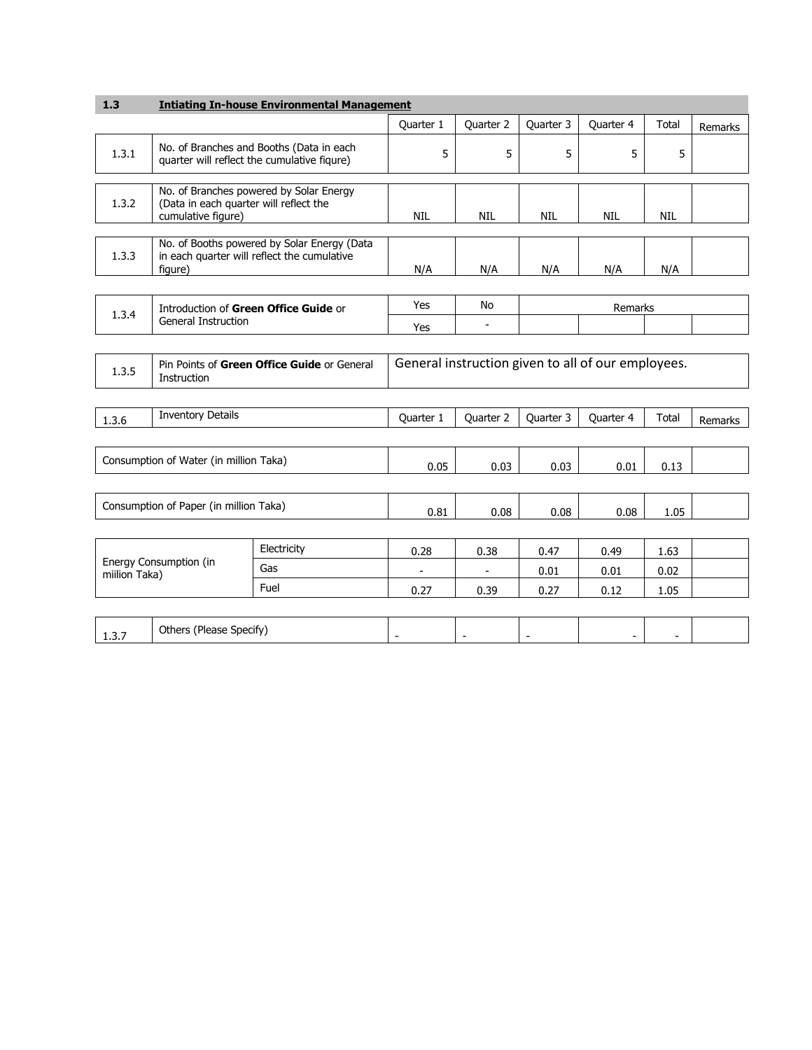| 1.3                                                                   |                                                                     | <b>Intiating In-house Environmental Management</b>                                         |                                |                          |                          |                                                    |                          |         |
|-----------------------------------------------------------------------|---------------------------------------------------------------------|--------------------------------------------------------------------------------------------|--------------------------------|--------------------------|--------------------------|----------------------------------------------------|--------------------------|---------|
|                                                                       |                                                                     |                                                                                            | Quarter 1                      | Quarter 2                | Quarter 3                | Quarter 4                                          | Total                    | Remarks |
| 1.3.1                                                                 |                                                                     | No. of Branches and Booths (Data in each<br>quarter will reflect the cumulative figure)    | 5                              | 5                        | 5                        | 5                                                  | 5                        |         |
| 1.3.2                                                                 | (Data in each quarter will reflect the<br>cumulative figure)        | No. of Branches powered by Solar Energy                                                    | <b>NIL</b>                     | <b>NIL</b>               | <b>NIL</b>               | <b>NIL</b>                                         | <b>NIL</b>               |         |
| 1.3.3                                                                 | figure)                                                             | No. of Booths powered by Solar Energy (Data<br>in each quarter will reflect the cumulative | N/A                            | N/A                      | N/A                      | N/A                                                | N/A                      |         |
|                                                                       |                                                                     |                                                                                            |                                |                          |                          |                                                    |                          |         |
| 1.3.4                                                                 | Introduction of Green Office Guide or<br><b>General Instruction</b> |                                                                                            | Yes                            | No                       |                          | Remarks                                            |                          |         |
|                                                                       |                                                                     |                                                                                            | Yes                            |                          |                          |                                                    |                          |         |
| Pin Points of Green Office Guide or General<br>1.3.5<br>Instruction   |                                                                     |                                                                                            |                                |                          |                          | General instruction given to all of our employees. |                          |         |
| 1.3.6                                                                 | <b>Inventory Details</b>                                            |                                                                                            | Quarter 1                      | Quarter 2                | Quarter 3                | Quarter 4                                          | Total                    | Remarks |
|                                                                       | Consumption of Water (in million Taka)                              |                                                                                            | 0.05                           | 0.03                     | 0.03                     | 0.01                                               | 0.13                     |         |
|                                                                       | Consumption of Paper (in million Taka)                              |                                                                                            | 0.81                           | 0.08                     | 0.08                     | 0.08                                               | 1.05                     |         |
| Electricity<br>Energy Consumption (in<br>Gas<br>miilion Taka)<br>Fuel |                                                                     | 0.28<br>$\overline{\phantom{a}}$<br>0.27                                                   | 0.38<br>$\blacksquare$<br>0.39 | 0.47<br>0.01<br>0.27     | 0.49<br>0.01<br>0.12     | 1.63<br>0.02<br>1.05                               |                          |         |
| 1.3.7                                                                 | Others (Please Specify)                                             |                                                                                            | $\overline{\phantom{a}}$       | $\overline{\phantom{a}}$ | $\overline{\phantom{a}}$ | $\blacksquare$                                     | $\overline{\phantom{a}}$ |         |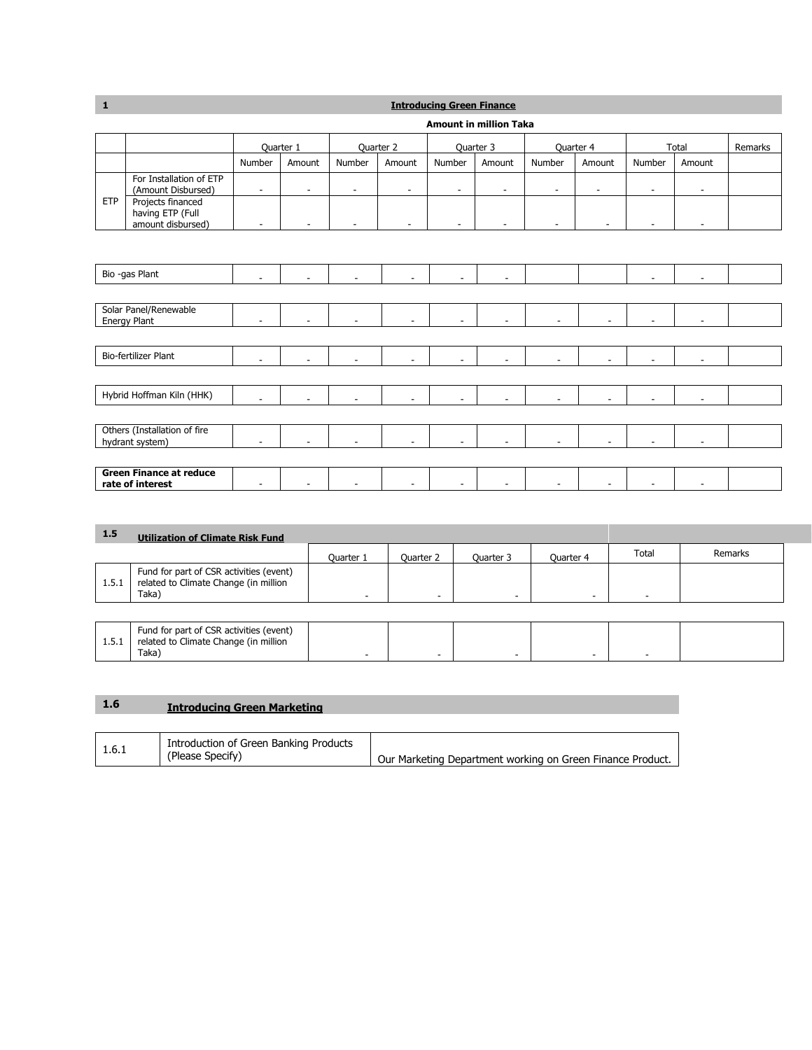## **1 Introducing Green Finance**

|            |                                                                                                             | <b>Amount in million Taka</b> |                          |                |                          |                |                          |                          |                |                          |                          |         |
|------------|-------------------------------------------------------------------------------------------------------------|-------------------------------|--------------------------|----------------|--------------------------|----------------|--------------------------|--------------------------|----------------|--------------------------|--------------------------|---------|
|            |                                                                                                             |                               | Quarter 1                | Quarter 2      |                          |                | Quarter 3                | Quarter 4                |                |                          | Total                    | Remarks |
|            |                                                                                                             | Number                        | Amount                   | Number         | Amount                   | Number         | Amount                   | Number                   | Amount         | Number                   | Amount                   |         |
| <b>ETP</b> | For Installation of ETP<br>(Amount Disbursed)<br>Projects financed<br>having ETP (Full<br>amount disbursed) | ۰<br>۰                        | $\blacksquare$<br>$\sim$ |                | ۰<br>٠                   | ۰<br>÷         | $\overline{\phantom{a}}$ | ۰<br>٠                   | $\overline{a}$ |                          | ٠                        |         |
|            |                                                                                                             |                               |                          |                |                          |                |                          |                          |                |                          |                          |         |
|            | Bio -gas Plant                                                                                              | $\sim$                        | $\sim$                   | $\blacksquare$ | $\sim$                   | ÷.             | ٠                        |                          |                | $\overline{\phantom{a}}$ | $\overline{\phantom{a}}$ |         |
|            |                                                                                                             |                               |                          |                |                          |                |                          |                          |                |                          |                          |         |
|            | Solar Panel/Renewable<br>Energy Plant                                                                       |                               |                          |                | $\overline{\phantom{a}}$ | ÷.             |                          |                          |                |                          |                          |         |
|            |                                                                                                             |                               |                          |                |                          |                |                          |                          |                |                          |                          |         |
|            | <b>Bio-fertilizer Plant</b>                                                                                 | $\overline{\phantom{a}}$      | $\blacksquare$           | $\blacksquare$ | $\overline{\phantom{a}}$ | $\blacksquare$ | ٠                        | $\overline{\phantom{a}}$ | ÷              | $\overline{\phantom{a}}$ | $\overline{\phantom{a}}$ |         |
|            |                                                                                                             |                               |                          |                |                          |                |                          |                          |                |                          |                          |         |
|            | Hybrid Hoffman Kiln (HHK)                                                                                   |                               |                          | ÷.             | $\overline{\phantom{a}}$ |                | ٠                        | ÷                        |                |                          |                          |         |
|            |                                                                                                             |                               |                          |                |                          |                |                          |                          |                |                          |                          |         |
|            | Others (Installation of fire<br>hydrant system)                                                             |                               | $\sim$                   |                | $\overline{\phantom{a}}$ | $\overline{a}$ |                          |                          | ÷              |                          |                          |         |
|            |                                                                                                             |                               |                          |                |                          |                |                          |                          |                |                          |                          |         |
|            | <b>Green Finance at reduce</b><br>rate of interest                                                          |                               |                          |                | ٠                        | $\overline{a}$ |                          |                          |                | ٠                        | ٠                        |         |

| 1.5   | <b>Utilization of Climate Risk Fund</b>                                                   |                          |           |           |           |       |         |  |
|-------|-------------------------------------------------------------------------------------------|--------------------------|-----------|-----------|-----------|-------|---------|--|
|       |                                                                                           | Quarter 1                | Quarter 2 | Quarter 3 | Quarter 4 | Total | Remarks |  |
| 1.5.1 | Fund for part of CSR activities (event)<br>related to Climate Change (in million<br>Taka) | $\overline{\phantom{a}}$ |           | -         |           | -     |         |  |
|       |                                                                                           |                          |           |           |           |       |         |  |
| 1.5.1 | Fund for part of CSR activities (event)<br>related to Climate Change (in million<br>Taka) |                          |           |           |           |       |         |  |

| л. | <b>Introducing Green Marketing</b> |  |
|----|------------------------------------|--|
|    |                                    |  |
|    |                                    |  |

| 1.6.1 | Introduction of Green Banking Products<br>(Please Specify) | Our Marketing Department working on Green Finance Product. |
|-------|------------------------------------------------------------|------------------------------------------------------------|
|       |                                                            |                                                            |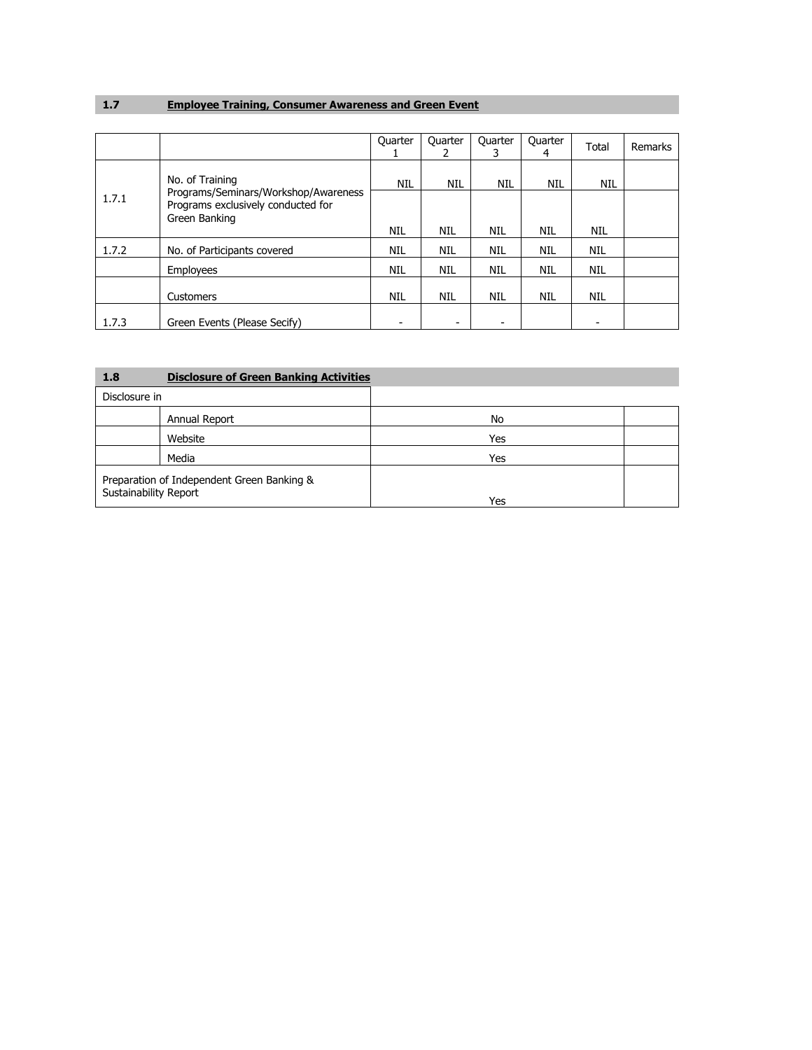# **1.7 Employee Training, Consumer Awareness and Green Event**

|       |                                                                                             | Quarter    | Quarter    | Quarter    | Quarter<br>4 | Total      | Remarks |
|-------|---------------------------------------------------------------------------------------------|------------|------------|------------|--------------|------------|---------|
|       | No. of Training                                                                             | <b>NIL</b> | <b>NIL</b> | NIL        | <b>NIL</b>   | <b>NIL</b> |         |
| 1.7.1 | Programs/Seminars/Workshop/Awareness<br>Programs exclusively conducted for<br>Green Banking |            |            |            |              |            |         |
|       |                                                                                             | NIL        | NIL        | <b>NIL</b> | NIL          | <b>NIL</b> |         |
| 1.7.2 | No. of Participants covered                                                                 | NIL        | NIL        | <b>NIL</b> | NIL          | <b>NIL</b> |         |
|       | Employees                                                                                   | NIL        | NIL        | <b>NIL</b> | NIL          | <b>NIL</b> |         |
|       | Customers                                                                                   | NIL        | NIL        | <b>NIL</b> | NIL          | NIL        |         |
| 1.7.3 | Green Events (Please Secify)                                                                |            | -          |            |              |            |         |

| 1.8                                                                 | <b>Disclosure of Green Banking Activities</b> |     |  |
|---------------------------------------------------------------------|-----------------------------------------------|-----|--|
| Disclosure in                                                       |                                               |     |  |
|                                                                     | Annual Report                                 | No  |  |
|                                                                     | Website                                       | Yes |  |
|                                                                     | Media                                         | Yes |  |
| Preparation of Independent Green Banking &<br>Sustainability Report |                                               | Yes |  |
|                                                                     |                                               |     |  |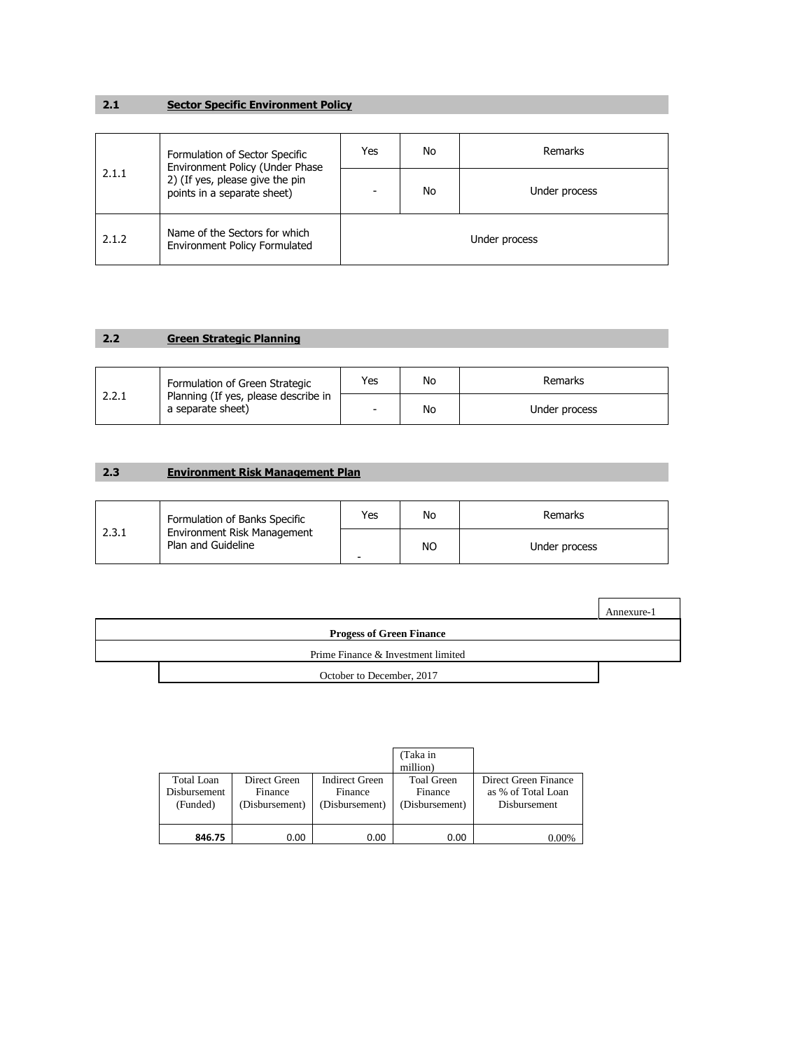#### **2.1 Sector Specific Environment Policy**

|       | Formulation of Sector Specific<br>Environment Policy (Under Phase<br>2) (If yes, please give the pin<br>points in a separate sheet) | Yes           | No | Remarks       |  |
|-------|-------------------------------------------------------------------------------------------------------------------------------------|---------------|----|---------------|--|
| 2.1.1 |                                                                                                                                     | ۰             | No | Under process |  |
| 2.1.2 | Name of the Sectors for which<br><b>Environment Policy Formulated</b>                                                               | Under process |    |               |  |

# **2.2 Green Strategic Planning**

|       | Formulation of Green Strategic                            | Yes                      | No | Remarks       |
|-------|-----------------------------------------------------------|--------------------------|----|---------------|
| 2.2.1 | Planning (If yes, please describe in<br>a separate sheet) | $\overline{\phantom{0}}$ | No | Under process |

### **2.3 Environment Risk Management Plan**

|       | Formulation of Banks Specific                     | Yes | No        | Remarks       |
|-------|---------------------------------------------------|-----|-----------|---------------|
| 2.3.1 | Environment Risk Management<br>Plan and Guideline | -   | <b>NO</b> | Under process |

|                                    | Annexure-1 |
|------------------------------------|------------|
| <b>Progess of Green Finance</b>    |            |
| Prime Finance & Investment limited |            |
| October to December, 2017          |            |

|                                               |                                           |                                                    | (Taka in<br>million)                           |                                                                   |
|-----------------------------------------------|-------------------------------------------|----------------------------------------------------|------------------------------------------------|-------------------------------------------------------------------|
| Total Loan<br><b>Disbursement</b><br>(Funded) | Direct Green<br>Finance<br>(Disbursement) | <b>Indirect Green</b><br>Finance<br>(Disbursement) | <b>Toal Green</b><br>Finance<br>(Disbursement) | Direct Green Finance<br>as % of Total Loan<br><b>Disbursement</b> |
| 846.75                                        | 0.00                                      | 0.00                                               | 0.00                                           | 0.00%                                                             |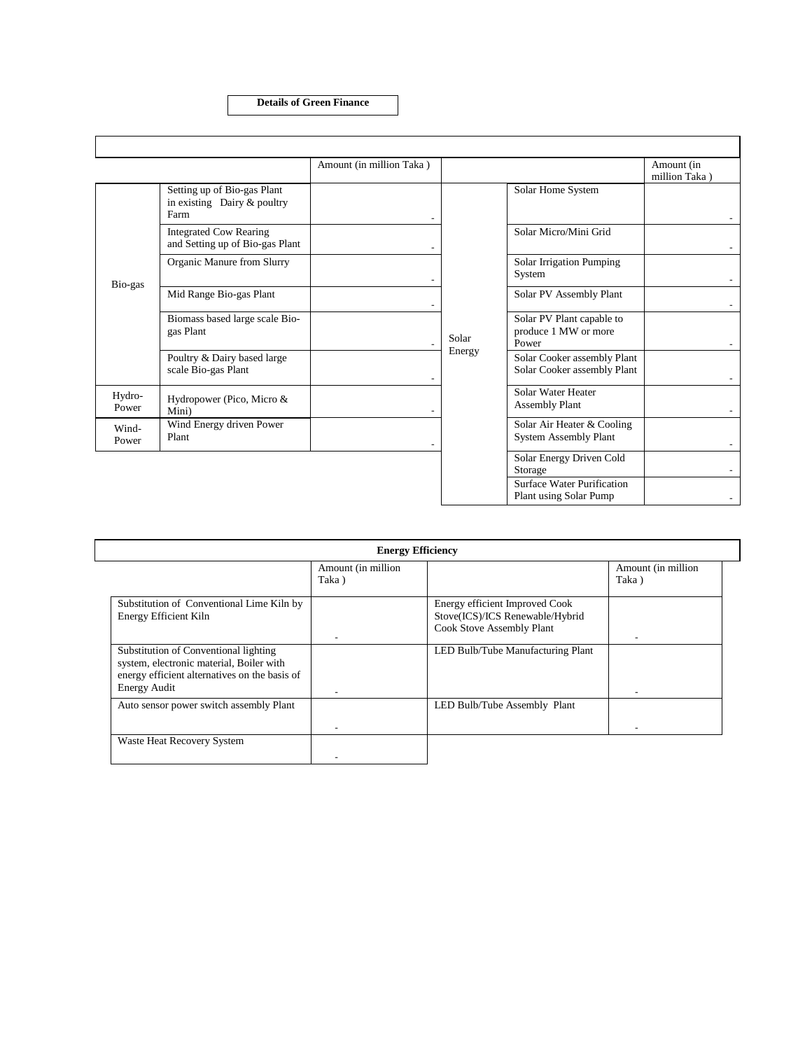**Details of Green Finance**

 $\overline{\phantom{a}}$ 

|                 |                                                                    | Amount (in million Taka) |                 |                                                            | Amount (in<br>million Taka) |
|-----------------|--------------------------------------------------------------------|--------------------------|-----------------|------------------------------------------------------------|-----------------------------|
| Bio-gas         | Setting up of Bio-gas Plant<br>in existing Dairy & poultry<br>Farm |                          |                 | Solar Home System                                          |                             |
|                 | <b>Integrated Cow Rearing</b><br>and Setting up of Bio-gas Plant   |                          |                 | Solar Micro/Mini Grid                                      |                             |
|                 | Organic Manure from Slurry                                         |                          |                 | <b>Solar Irrigation Pumping</b><br>System                  |                             |
|                 | Mid Range Bio-gas Plant                                            |                          | Solar<br>Energy | Solar PV Assembly Plant                                    |                             |
|                 | Biomass based large scale Bio-<br>gas Plant                        |                          |                 | Solar PV Plant capable to<br>produce 1 MW or more<br>Power |                             |
|                 | Poultry & Dairy based large<br>scale Bio-gas Plant                 |                          |                 | Solar Cooker assembly Plant<br>Solar Cooker assembly Plant |                             |
| Hydro-<br>Power | Hydropower (Pico, Micro &<br>Mini)                                 |                          |                 | Solar Water Heater<br><b>Assembly Plant</b>                |                             |
| Wind-<br>Power  | Wind Energy driven Power<br>Plant                                  |                          |                 | Solar Air Heater & Cooling<br><b>System Assembly Plant</b> |                             |
|                 |                                                                    |                          |                 | Solar Energy Driven Cold<br>Storage                        |                             |
|                 |                                                                    |                          |                 | Surface Water Purification<br>Plant using Solar Pump       |                             |

| <b>Energy Efficiency</b>                                                                                                                                  |                             |                                                                                                |                             |  |  |
|-----------------------------------------------------------------------------------------------------------------------------------------------------------|-----------------------------|------------------------------------------------------------------------------------------------|-----------------------------|--|--|
|                                                                                                                                                           | Amount (in million<br>Taka) |                                                                                                | Amount (in million<br>Taka) |  |  |
| Substitution of Conventional Lime Kiln by<br><b>Energy Efficient Kiln</b>                                                                                 |                             | Energy efficient Improved Cook<br>Stove(ICS)/ICS Renewable/Hybrid<br>Cook Stove Assembly Plant |                             |  |  |
| Substitution of Conventional lighting<br>system, electronic material, Boiler with<br>energy efficient alternatives on the basis of<br><b>Energy Audit</b> |                             | LED Bulb/Tube Manufacturing Plant                                                              |                             |  |  |
| Auto sensor power switch assembly Plant                                                                                                                   |                             | LED Bulb/Tube Assembly Plant                                                                   |                             |  |  |
| Waste Heat Recovery System                                                                                                                                |                             |                                                                                                |                             |  |  |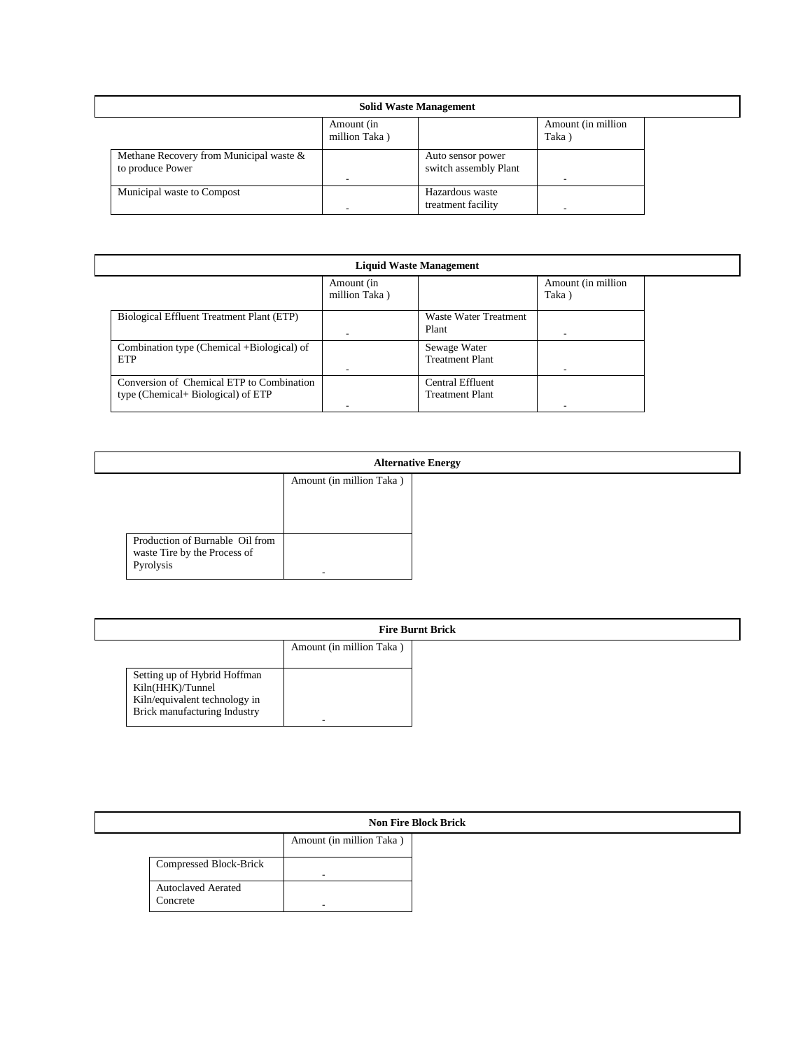| <b>Solid Waste Management</b>                               |                             |                                            |                              |  |
|-------------------------------------------------------------|-----------------------------|--------------------------------------------|------------------------------|--|
|                                                             | Amount (in<br>million Taka) |                                            | Amount (in million)<br>Taka) |  |
| Methane Recovery from Municipal waste &<br>to produce Power |                             | Auto sensor power<br>switch assembly Plant |                              |  |
| Municipal waste to Compost                                  |                             | Hazardous waste<br>treatment facility      |                              |  |

| <b>Liquid Waste Management</b>                                                  |                             |                                            |                             |  |
|---------------------------------------------------------------------------------|-----------------------------|--------------------------------------------|-----------------------------|--|
|                                                                                 | Amount (in<br>million Taka) |                                            | Amount (in million<br>Taka) |  |
| Biological Effluent Treatment Plant (ETP)                                       |                             | Waste Water Treatment<br>Plant             |                             |  |
| Combination type (Chemical +Biological) of<br><b>ETP</b>                        |                             | Sewage Water<br><b>Treatment Plant</b>     |                             |  |
| Conversion of Chemical ETP to Combination<br>type (Chemical+ Biological) of ETP |                             | Central Effluent<br><b>Treatment Plant</b> |                             |  |

| <b>Alternative Energy</b>                                                    |                          |  |
|------------------------------------------------------------------------------|--------------------------|--|
|                                                                              | Amount (in million Taka) |  |
| Production of Burnable Oil from<br>waste Tire by the Process of<br>Pyrolysis |                          |  |

| <b>Fire Burnt Brick</b>                           |                          |  |
|---------------------------------------------------|--------------------------|--|
|                                                   | Amount (in million Taka) |  |
|                                                   |                          |  |
| Setting up of Hybrid Hoffman                      |                          |  |
| Kiln(HHK)/Tunnel<br>Kiln/equivalent technology in |                          |  |
| Brick manufacturing Industry                      |                          |  |

| <b>Non Fire Block Brick</b>           |                          |  |
|---------------------------------------|--------------------------|--|
|                                       | Amount (in million Taka) |  |
| Compressed Block-Brick                | -                        |  |
| <b>Autoclaved Aerated</b><br>Concrete |                          |  |